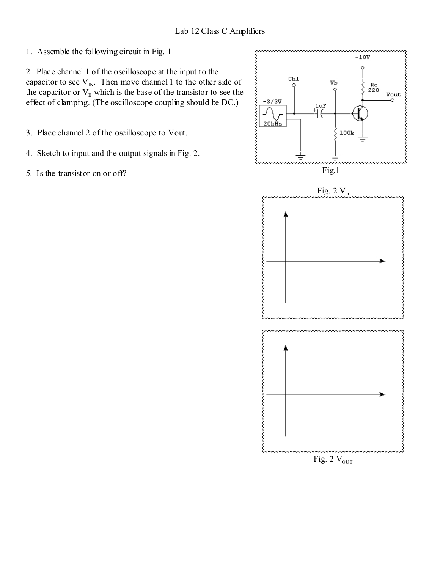1. Assemble the following circuit in Fig. 1

2. Place channel 1 of the oscilloscope at the input to the capacitor to see  $V_{IN}$ . Then move channel 1 to the other side of the capacitor or  $V_B$  which is the base of the transistor to see the effect of clamping. (The oscilloscope coupling should be DC.)

3. Place channel 2 of the oscilloscope to Vout.

- 4. Sketch to input and the output signals in Fig. 2.
- 5. Is the transistor on or off?